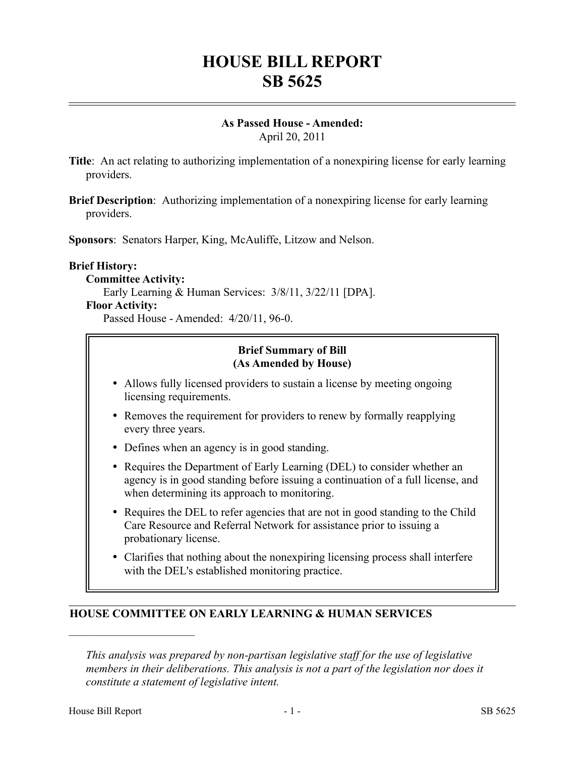# **HOUSE BILL REPORT SB 5625**

# **As Passed House - Amended:**

April 20, 2011

- **Title**: An act relating to authorizing implementation of a nonexpiring license for early learning providers.
- **Brief Description**: Authorizing implementation of a nonexpiring license for early learning providers.

**Sponsors**: Senators Harper, King, McAuliffe, Litzow and Nelson.

#### **Brief History:**

#### **Committee Activity:**

Early Learning & Human Services: 3/8/11, 3/22/11 [DPA].

#### **Floor Activity:**

Passed House - Amended: 4/20/11, 96-0.

#### **Brief Summary of Bill (As Amended by House)**

- Allows fully licensed providers to sustain a license by meeting ongoing licensing requirements.
- Removes the requirement for providers to renew by formally reapplying every three years.
- Defines when an agency is in good standing.
- Requires the Department of Early Learning (DEL) to consider whether an agency is in good standing before issuing a continuation of a full license, and when determining its approach to monitoring.
- Requires the DEL to refer agencies that are not in good standing to the Child Care Resource and Referral Network for assistance prior to issuing a probationary license.
- Clarifies that nothing about the nonexpiring licensing process shall interfere with the DEL's established monitoring practice.

#### **HOUSE COMMITTEE ON EARLY LEARNING & HUMAN SERVICES**

––––––––––––––––––––––

*This analysis was prepared by non-partisan legislative staff for the use of legislative members in their deliberations. This analysis is not a part of the legislation nor does it constitute a statement of legislative intent.*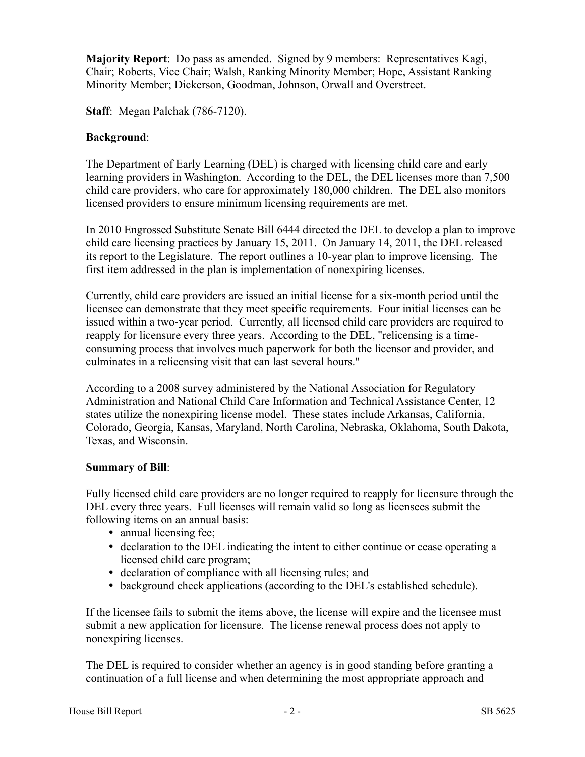**Majority Report**: Do pass as amended. Signed by 9 members: Representatives Kagi, Chair; Roberts, Vice Chair; Walsh, Ranking Minority Member; Hope, Assistant Ranking Minority Member; Dickerson, Goodman, Johnson, Orwall and Overstreet.

**Staff**: Megan Palchak (786-7120).

#### **Background**:

The Department of Early Learning (DEL) is charged with licensing child care and early learning providers in Washington. According to the DEL, the DEL licenses more than 7,500 child care providers, who care for approximately 180,000 children. The DEL also monitors licensed providers to ensure minimum licensing requirements are met.

In 2010 Engrossed Substitute Senate Bill 6444 directed the DEL to develop a plan to improve child care licensing practices by January 15, 2011. On January 14, 2011, the DEL released its report to the Legislature. The report outlines a 10-year plan to improve licensing. The first item addressed in the plan is implementation of nonexpiring licenses.

Currently, child care providers are issued an initial license for a six-month period until the licensee can demonstrate that they meet specific requirements. Four initial licenses can be issued within a two-year period. Currently, all licensed child care providers are required to reapply for licensure every three years. According to the DEL, "relicensing is a timeconsuming process that involves much paperwork for both the licensor and provider, and culminates in a relicensing visit that can last several hours."

According to a 2008 survey administered by the National Association for Regulatory Administration and National Child Care Information and Technical Assistance Center, 12 states utilize the nonexpiring license model. These states include Arkansas, California, Colorado, Georgia, Kansas, Maryland, North Carolina, Nebraska, Oklahoma, South Dakota, Texas, and Wisconsin.

#### **Summary of Bill**:

Fully licensed child care providers are no longer required to reapply for licensure through the DEL every three years. Full licenses will remain valid so long as licensees submit the following items on an annual basis:

- annual licensing fee;
- declaration to the DEL indicating the intent to either continue or cease operating a licensed child care program;
- declaration of compliance with all licensing rules; and
- background check applications (according to the DEL's established schedule).

If the licensee fails to submit the items above, the license will expire and the licensee must submit a new application for licensure. The license renewal process does not apply to nonexpiring licenses.

The DEL is required to consider whether an agency is in good standing before granting a continuation of a full license and when determining the most appropriate approach and